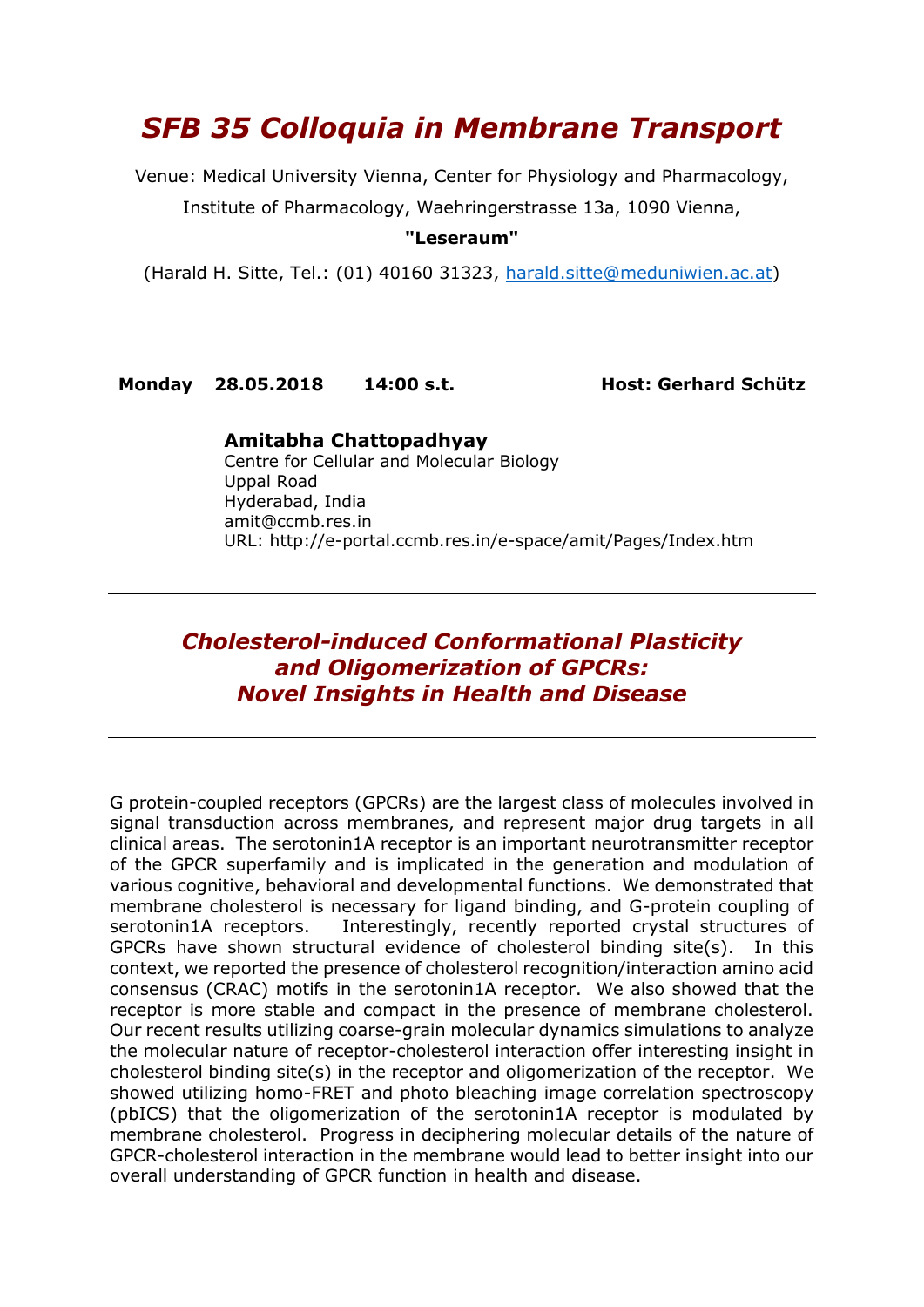# *SFB 35 Colloquia in Membrane Transport*

Venue: Medical University Vienna, Center for Physiology and Pharmacology,

Institute of Pharmacology, Waehringerstrasse 13a, 1090 Vienna,

#### **"Leseraum"**

(Harald H. Sitte, Tel.: (01) 40160 31323, [harald.sitte@meduniwien.ac.at\)](mailto:harald.sitte@meduniwien.ac.at)

**Monday 28.05.2018 14:00 s.t. Host: Gerhard Schütz**

#### **Amitabha Chattopadhyay**

Centre for Cellular and Molecular Biology Uppal Road Hyderabad, India amit@ccmb.res.in URL: http://e-portal.ccmb.res.in/e-space/amit/Pages/Index.htm

## *Cholesterol-induced Conformational Plasticity and Oligomerization of GPCRs: Novel Insights in Health and Disease*

G protein-coupled receptors (GPCRs) are the largest class of molecules involved in signal transduction across membranes, and represent major drug targets in all clinical areas. The serotonin1A receptor is an important neurotransmitter receptor of the GPCR superfamily and is implicated in the generation and modulation of various cognitive, behavioral and developmental functions. We demonstrated that membrane cholesterol is necessary for ligand binding, and G-protein coupling of serotonin1A receptors. Interestingly, recently reported crystal structures of GPCRs have shown structural evidence of cholesterol binding site(s). In this context, we reported the presence of cholesterol recognition/interaction amino acid consensus (CRAC) motifs in the serotonin1A receptor. We also showed that the receptor is more stable and compact in the presence of membrane cholesterol. Our recent results utilizing coarse-grain molecular dynamics simulations to analyze the molecular nature of receptor-cholesterol interaction offer interesting insight in cholesterol binding site(s) in the receptor and oligomerization of the receptor. We showed utilizing homo-FRET and photo bleaching image correlation spectroscopy (pbICS) that the oligomerization of the serotonin1A receptor is modulated by membrane cholesterol. Progress in deciphering molecular details of the nature of GPCR-cholesterol interaction in the membrane would lead to better insight into our overall understanding of GPCR function in health and disease.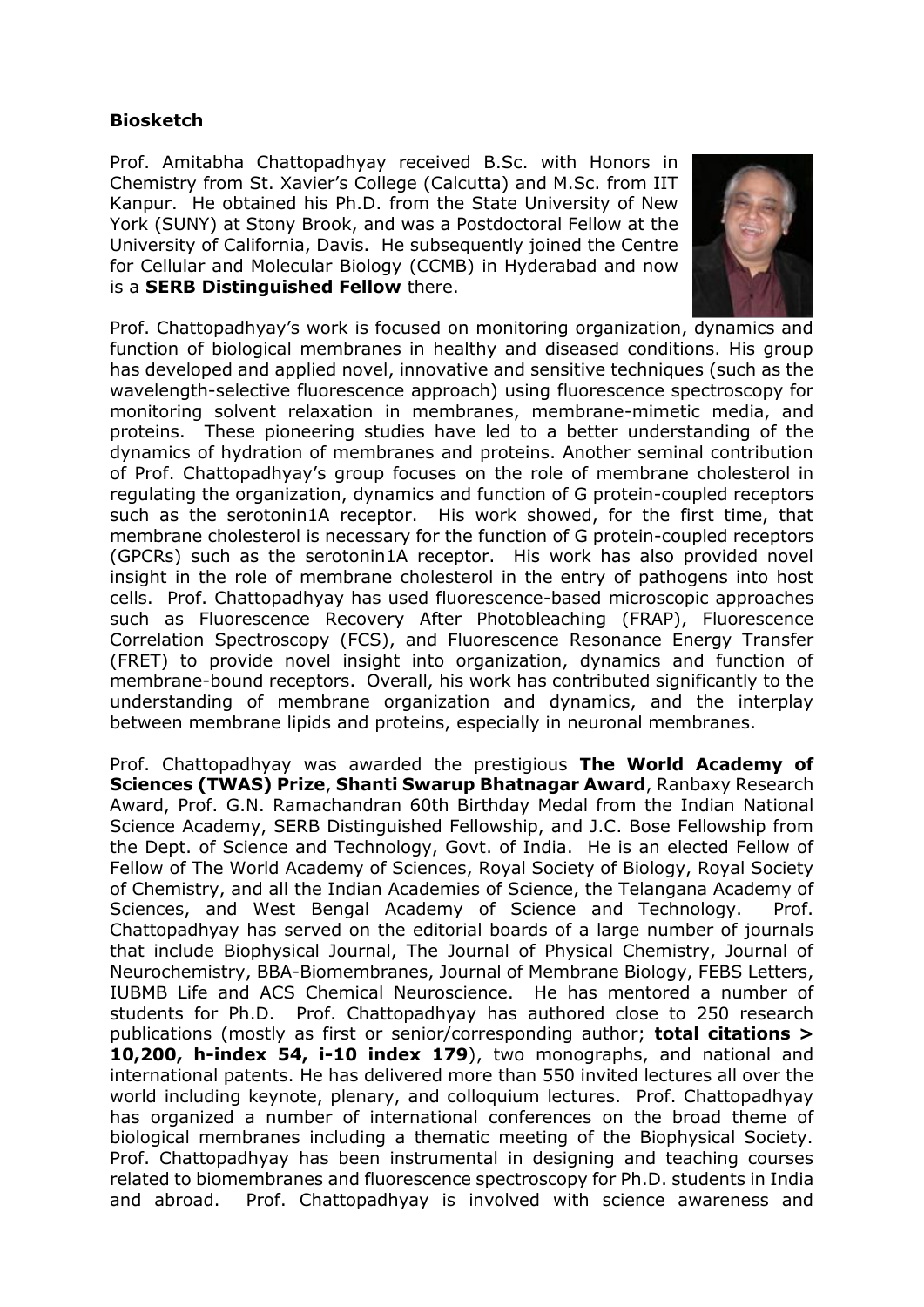### **Biosketch**

Prof. Amitabha Chattopadhyay received B.Sc. with Honors in Chemistry from St. Xavier's College (Calcutta) and M.Sc. from IIT Kanpur. He obtained his Ph.D. from the State University of New York (SUNY) at Stony Brook, and was a Postdoctoral Fellow at the University of California, Davis. He subsequently joined the Centre for Cellular and Molecular Biology (CCMB) in Hyderabad and now is a **SERB Distinguished Fellow** there.



Prof. Chattopadhyay's work is focused on monitoring organization, dynamics and function of biological membranes in healthy and diseased conditions. His group has developed and applied novel, innovative and sensitive techniques (such as the wavelength-selective fluorescence approach) using fluorescence spectroscopy for monitoring solvent relaxation in membranes, membrane-mimetic media, and proteins. These pioneering studies have led to a better understanding of the dynamics of hydration of membranes and proteins. Another seminal contribution of Prof. Chattopadhyay's group focuses on the role of membrane cholesterol in regulating the organization, dynamics and function of G protein-coupled receptors such as the serotonin1A receptor. His work showed, for the first time, that membrane cholesterol is necessary for the function of G protein-coupled receptors (GPCRs) such as the serotonin1A receptor. His work has also provided novel insight in the role of membrane cholesterol in the entry of pathogens into host cells. Prof. Chattopadhyay has used fluorescence-based microscopic approaches such as Fluorescence Recovery After Photobleaching (FRAP), Fluorescence Correlation Spectroscopy (FCS), and Fluorescence Resonance Energy Transfer (FRET) to provide novel insight into organization, dynamics and function of membrane-bound receptors. Overall, his work has contributed significantly to the understanding of membrane organization and dynamics, and the interplay between membrane lipids and proteins, especially in neuronal membranes.

Prof. Chattopadhyay was awarded the prestigious **The World Academy of Sciences (TWAS) Prize**, **Shanti Swarup Bhatnagar Award**, Ranbaxy Research Award, Prof. G.N. Ramachandran 60th Birthday Medal from the Indian National Science Academy, SERB Distinguished Fellowship, and J.C. Bose Fellowship from the Dept. of Science and Technology, Govt. of India. He is an elected Fellow of Fellow of The World Academy of Sciences, Royal Society of Biology, Royal Society of Chemistry, and all the Indian Academies of Science, the Telangana Academy of Sciences, and West Bengal Academy of Science and Technology. Prof. Chattopadhyay has served on the editorial boards of a large number of journals that include Biophysical Journal, The Journal of Physical Chemistry, Journal of Neurochemistry, BBA-Biomembranes, Journal of Membrane Biology, FEBS Letters, IUBMB Life and ACS Chemical Neuroscience. He has mentored a number of students for Ph.D. Prof. Chattopadhyay has authored close to 250 research publications (mostly as first or senior/corresponding author; **total citations > 10,200, h-index 54, i-10 index 179**), two monographs, and national and international patents. He has delivered more than 550 invited lectures all over the world including keynote, plenary, and colloquium lectures. Prof. Chattopadhyay has organized a number of international conferences on the broad theme of biological membranes including a thematic meeting of the Biophysical Society. Prof. Chattopadhyay has been instrumental in designing and teaching courses related to biomembranes and fluorescence spectroscopy for Ph.D. students in India and abroad. Prof. Chattopadhyay is involved with science awareness and